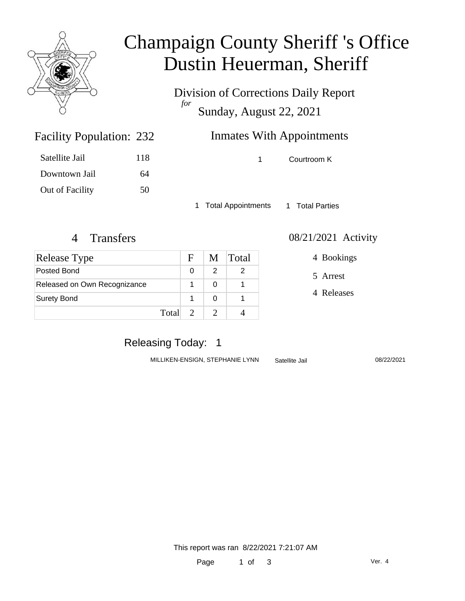

# Champaign County Sheriff 's Office Dustin Heuerman, Sheriff

Division of Corrections Daily Report *for* Sunday, August 22, 2021

## **Inmates With Appointments**

1 Courtroom K

1 Total Appointments 1 Total Parties

Facility Population: 232

Satellite Jail 118

Downtown Jail 64

Out of Facility 50

| Release Type                 |       | F. |   | M Total |
|------------------------------|-------|----|---|---------|
| Posted Bond                  |       | O  | 2 |         |
| Released on Own Recognizance |       |    |   |         |
| <b>Surety Bond</b>           |       |    |   |         |
|                              | Total | 2  |   |         |

#### 4 Transfers 08/21/2021 Activity

4 Bookings

5 Arrest

4 Releases

### Releasing Today: 1

MILLIKEN-ENSIGN, STEPHANIE LYNN Satellite Jail 08/22/2021

This report was ran 8/22/2021 7:21:07 AM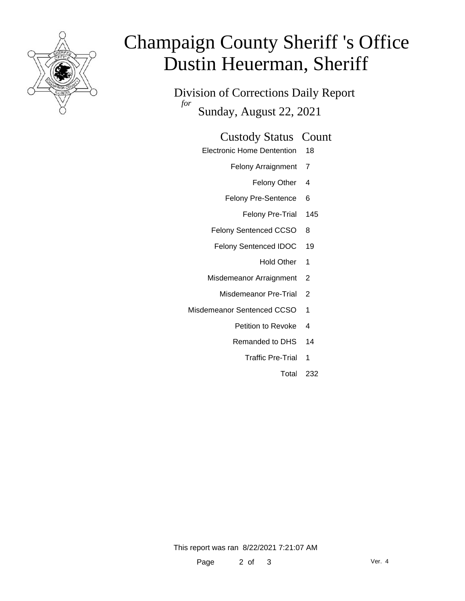

# Champaign County Sheriff 's Office Dustin Heuerman, Sheriff

Division of Corrections Daily Report *for* Sunday, August 22, 2021

#### Custody Status Count

- Electronic Home Dentention 18
	- Felony Arraignment 7
		- Felony Other 4
	- Felony Pre-Sentence 6
		- Felony Pre-Trial 145
	- Felony Sentenced CCSO 8
	- Felony Sentenced IDOC 19
		- Hold Other 1
	- Misdemeanor Arraignment 2
		- Misdemeanor Pre-Trial 2
- Misdemeanor Sentenced CCSO 1
	- Petition to Revoke 4
	- Remanded to DHS 14
		- Traffic Pre-Trial 1
			- Total 232

This report was ran 8/22/2021 7:21:07 AM